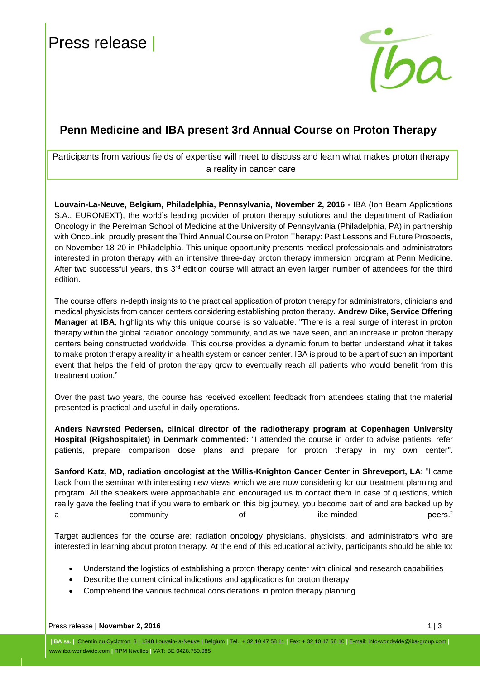I



# **Penn Medicine and IBA present 3rd Annual Course on Proton Therapy**

Participants from various fields of expertise will meet to discuss and learn what makes proton therapy a reality in cancer care

**Louvain-La-Neuve, Belgium, Philadelphia, Pennsylvania, November 2, 2016 -** IBA (Ion Beam Applications S.A., EURONEXT), the world's leading provider of proton therapy solutions and the department of Radiation Oncology in the Perelman School of Medicine at the University of Pennsylvania (Philadelphia, PA) in partnership with OncoLink, proudly present the Third Annual Course on Proton Therapy: Past Lessons and Future Prospects, on November 18-20 in Philadelphia. This unique opportunity presents medical professionals and administrators interested in proton therapy with an intensive three-day proton therapy immersion program at Penn Medicine. After two successful years, this 3<sup>rd</sup> edition course will attract an even larger number of attendees for the third edition.

The course offers in-depth insights to the practical application of proton therapy for administrators, clinicians and medical physicists from cancer centers considering establishing proton therapy. **Andrew Dike, Service Offering Manager at IBA**, highlights why this unique course is so valuable. "There is a real surge of interest in proton therapy within the global radiation oncology community, and as we have seen, and an increase in proton therapy centers being constructed worldwide. This course provides a dynamic forum to better understand what it takes to make proton therapy a reality in a health system or cancer center. IBA is proud to be a part of such an important event that helps the field of proton therapy grow to eventually reach all patients who would benefit from this treatment option."

Over the past two years, the course has received excellent feedback from attendees stating that the material presented is practical and useful in daily operations.

**Anders Navrsted Pedersen, clinical director of the radiotherapy program at Copenhagen University Hospital (Rigshospitalet) in Denmark commented:** "I attended the course in order to advise patients, refer patients, prepare comparison dose plans and prepare for proton therapy in my own center".

**Sanford Katz, MD, radiation oncologist at the Willis-Knighton Cancer Center in Shreveport, LA**: "I came back from the seminar with interesting new views which we are now considering for our treatment planning and program. All the speakers were approachable and encouraged us to contact them in case of questions, which really gave the feeling that if you were to embark on this big journey, you become part of and are backed up by a community of like-minded peers."

Target audiences for the course are: radiation oncology physicians, physicists, and administrators who are interested in learning about proton therapy. At the end of this educational activity, participants should be able to:

- Understand the logistics of establishing a proton therapy center with clinical and research capabilities
- Describe the current clinical indications and applications for proton therapy
- Comprehend the various technical considerations in proton therapy planning

Press release **| November 2, 2016** 1 | 3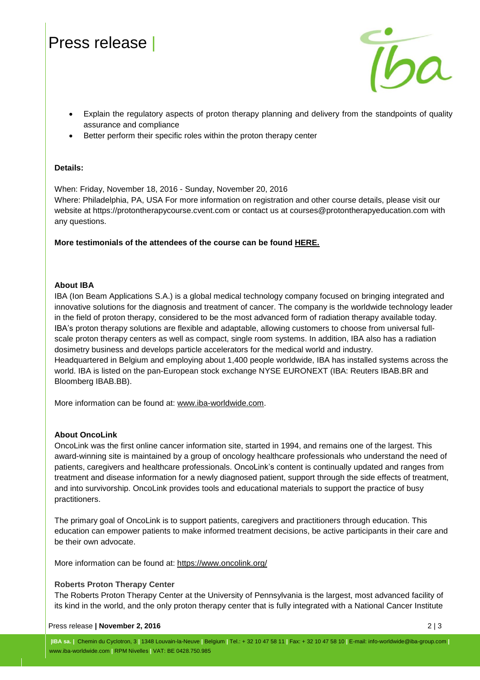# Press release |



- Explain the regulatory aspects of proton therapy planning and delivery from the standpoints of quality assurance and compliance
- Better perform their specific roles within the proton therapy center

#### **Details:**

When: Friday, November 18, 2016 - Sunday, November 20, 2016

Where: Philadelphia, PA, USA For more information on registration and other course details, please visit our website at https://protontherapycourse.cvent.com or contact us at courses@protontherapyeducation.com with any questions.

**More testimonials of the attendees of the course can be found [HERE.](http://protontherapycourse.cvent.com/events/annual-course-on-proton-therapy/custom-20-c52b21c98fcf41cc975c97cab628ffc4.aspx)**

#### **About IBA**

IBA (Ion Beam Applications S.A.) is a global medical technology company focused on bringing integrated and innovative solutions for the diagnosis and treatment of cancer. The company is the worldwide technology leader in the field of proton therapy, considered to be the most advanced form of radiation therapy available today. IBA's proton therapy solutions are flexible and adaptable, allowing customers to choose from universal fullscale proton therapy centers as well as compact, single room systems. In addition, IBA also has a radiation dosimetry business and develops particle accelerators for the medical world and industry. Headquartered in Belgium and employing about 1,400 people worldwide, IBA has installed systems across the world. IBA is listed on the pan-European stock exchange NYSE EURONEXT (IBA: Reuters IBAB.BR and Bloomberg IBAB.BB).

More information can be found at: [www.iba-worldwide.com.](file:///D:/Users/jkulhan/AppData/Local/Microsoft/Windows/Temporary%20Internet%20Files/Content.Outlook/5WG27R0Y/www.iba-worldwide.com)

### **About OncoLink**

OncoLink was the first online cancer information site, started in 1994, and remains one of the largest. This award-winning site is maintained by a group of oncology healthcare professionals who understand the need of patients, caregivers and healthcare professionals. OncoLink's content is continually updated and ranges from treatment and disease information for a newly diagnosed patient, support through the side effects of treatment, and into survivorship. OncoLink provides tools and educational materials to support the practice of busy practitioners.

The primary goal of OncoLink is to support patients, caregivers and practitioners through education. This education can empower patients to make informed treatment decisions, be active participants in their care and be their own advocate.

More information can be found at: <https://www.oncolink.org/>

### **Roberts Proton Therapy Center**

The Roberts Proton Therapy Center at the University of Pennsylvania is the largest, most advanced facility of its kind in the world, and the only proton therapy center that is fully integrated with a National Cancer Institute

#### Press release **| November 2, 2016** 2 | 3